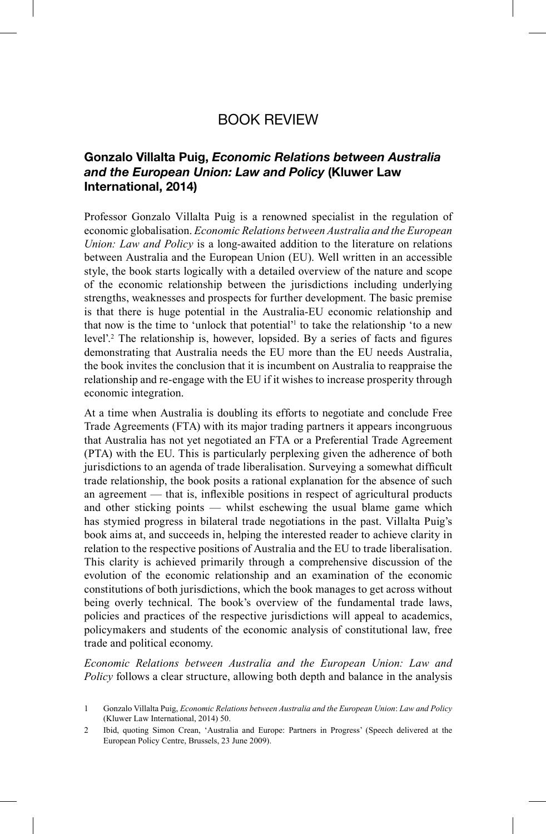## BOOK REVIEW

## **Gonzalo Villalta Puig,** *Economic Relations between Australia and the European Union: Law and Policy* **(Kluwer Law International, 2014)**

Professor Gonzalo Villalta Puig is a renowned specialist in the regulation of economic globalisation. *Economic Relations between Australia and the European Union: Law and Policy* is a long-awaited addition to the literature on relations between Australia and the European Union (EU). Well written in an accessible style, the book starts logically with a detailed overview of the nature and scope of the economic relationship between the jurisdictions including underlying strengths, weaknesses and prospects for further development. The basic premise is that there is huge potential in the Australia-EU economic relationship and that now is the time to 'unlock that potential'<sup>1</sup> to take the relationship 'to a new level'.<sup>2</sup> The relationship is, however, lopsided. By a series of facts and figures demonstrating that Australia needs the EU more than the EU needs Australia, the book invites the conclusion that it is incumbent on Australia to reappraise the relationship and re-engage with the EU if it wishes to increase prosperity through economic integration.

At a time when Australia is doubling its efforts to negotiate and conclude Free Trade Agreements (FTA) with its major trading partners it appears incongruous that Australia has not yet negotiated an FTA or a Preferential Trade Agreement (PTA) with the EU. This is particularly perplexing given the adherence of both jurisdictions to an agenda of trade liberalisation. Surveying a somewhat difficult trade relationship, the book posits a rational explanation for the absence of such an agreement  $-$  that is, inflexible positions in respect of agricultural products and other sticking points — whilst eschewing the usual blame game which has stymied progress in bilateral trade negotiations in the past. Villalta Puig's book aims at, and succeeds in, helping the interested reader to achieve clarity in relation to the respective positions of Australia and the EU to trade liberalisation. This clarity is achieved primarily through a comprehensive discussion of the evolution of the economic relationship and an examination of the economic constitutions of both jurisdictions, which the book manages to get across without being overly technical. The book's overview of the fundamental trade laws, policies and practices of the respective jurisdictions will appeal to academics, policymakers and students of the economic analysis of constitutional law, free trade and political economy.

*Economic Relations between Australia and the European Union: Law and Policy* follows a clear structure, allowing both depth and balance in the analysis

<sup>1</sup> Gonzalo Villalta Puig, *Economic Relations between Australia and the European Union*: *Law and Policy* (Kluwer Law International, 2014) 50.

<sup>2</sup> Ibid, quoting Simon Crean, 'Australia and Europe: Partners in Progress' (Speech delivered at the European Policy Centre, Brussels, 23 June 2009).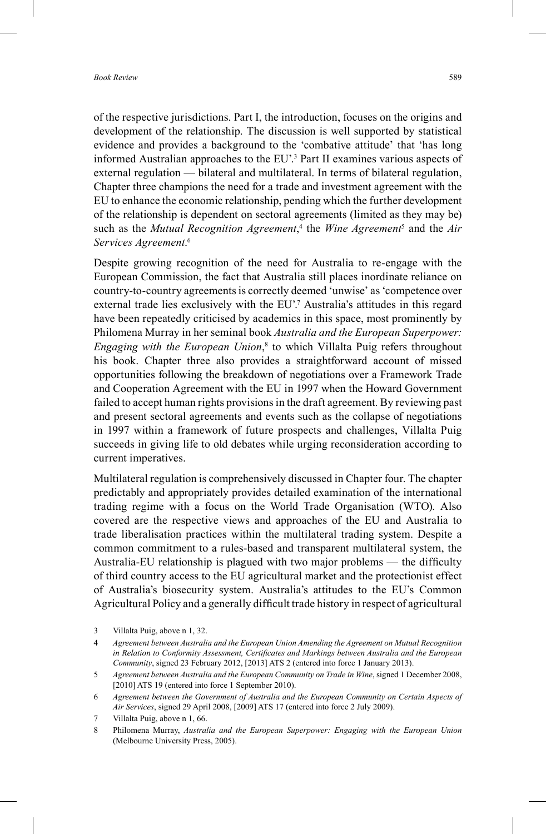of the respective jurisdictions. Part I, the introduction, focuses on the origins and development of the relationship. The discussion is well supported by statistical evidence and provides a background to the 'combative attitude' that 'has long informed Australian approaches to the EU'. 3 Part II examines various aspects of external regulation — bilateral and multilateral. In terms of bilateral regulation, Chapter three champions the need for a trade and investment agreement with the EU to enhance the economic relationship, pending which the further development of the relationship is dependent on sectoral agreements (limited as they may be) such as the *Mutual Recognition Agreement*,<sup>4</sup> the *Wine Agreement*<sup>5</sup> and the *Air Services Agreement*. 6

Despite growing recognition of the need for Australia to re-engage with the European Commission, the fact that Australia still places inordinate reliance on country-to-country agreements is correctly deemed 'unwise' as 'competence over external trade lies exclusively with the EU'.<sup>7</sup> Australia's attitudes in this regard have been repeatedly criticised by academics in this space, most prominently by Philomena Murray in her seminal book *Australia and the European Superpower: Engaging with the European Union*, 8 to which Villalta Puig refers throughout his book. Chapter three also provides a straightforward account of missed opportunities following the breakdown of negotiations over a Framework Trade and Cooperation Agreement with the EU in 1997 when the Howard Government failed to accept human rights provisions in the draft agreement. By reviewing past and present sectoral agreements and events such as the collapse of negotiations in 1997 within a framework of future prospects and challenges, Villalta Puig succeeds in giving life to old debates while urging reconsideration according to current imperatives.

Multilateral regulation is comprehensively discussed in Chapter four. The chapter predictably and appropriately provides detailed examination of the international trading regime with a focus on the World Trade Organisation (WTO). Also covered are the respective views and approaches of the EU and Australia to trade liberalisation practices within the multilateral trading system. Despite a common commitment to a rules-based and transparent multilateral system, the Australia-EU relationship is plagued with two major problems — the difficulty of third country access to the EU agricultural market and the protectionist effect of Australia's biosecurity system. Australia's attitudes to the EU's Common Agricultural Policy and a generally difficult trade history in respect of agricultural

<sup>3</sup> Villalta Puig, above n 1, 32.

<sup>4</sup> *Agreement between Australia and the European Union Amending the Agreement on Mutual Recognition*  in Relation to Conformity Assessment, Certificates and Markings between Australia and the European *Community*, signed 23 February 2012, [2013] ATS 2 (entered into force 1 January 2013).

<sup>5</sup> *Agreement between Australia and the European Community on Trade in Wine*, signed 1 December 2008, [2010] ATS 19 (entered into force 1 September 2010).

<sup>6</sup> *Agreement between the Government of Australia and the European Community on Certain Aspects of Air Services*, signed 29 April 2008, [2009] ATS 17 (entered into force 2 July 2009).

<sup>7</sup> Villalta Puig, above n 1, 66.

<sup>8</sup> Philomena Murray, *Australia and the European Superpower: Engaging with the European Union* (Melbourne University Press, 2005).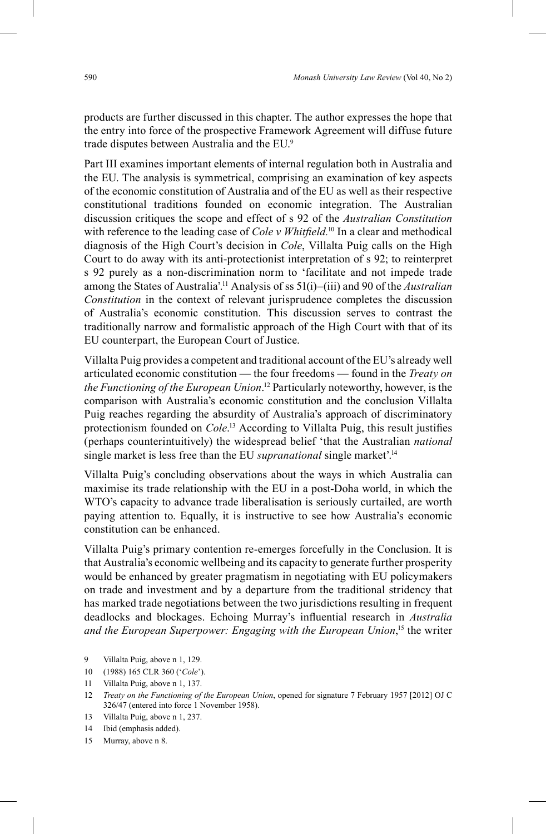products are further discussed in this chapter. The author expresses the hope that the entry into force of the prospective Framework Agreement will diffuse future trade disputes between Australia and the EU. 9

Part III examines important elements of internal regulation both in Australia and the EU. The analysis is symmetrical, comprising an examination of key aspects of the economic constitution of Australia and of the EU as well as their respective constitutional traditions founded on economic integration. The Australian discussion critiques the scope and effect of s 92 of the *Australian Constitution* with reference to the leading case of *Cole v Whitfield*.<sup>10</sup> In a clear and methodical diagnosis of the High Court's decision in *Cole*, Villalta Puig calls on the High Court to do away with its anti-protectionist interpretation of s 92; to reinterpret s 92 purely as a non-discrimination norm to 'facilitate and not impede trade among the States of Australia'. 11 Analysis of ss 51(i)–(iii) and 90 of the *Australian Constitution* in the context of relevant jurisprudence completes the discussion of Australia's economic constitution. This discussion serves to contrast the traditionally narrow and formalistic approach of the High Court with that of its EU counterpart, the European Court of Justice.

Villalta Puig provides a competent and traditional account of the EU's already well articulated economic constitution — the four freedoms — found in the *Treaty on* the Functioning of the European Union.<sup>12</sup> Particularly noteworthy, however, is the comparison with Australia's economic constitution and the conclusion Villalta Puig reaches regarding the absurdity of Australia's approach of discriminatory protectionism founded on *Cole*.<sup>13</sup> According to Villalta Puig, this result justifies (perhaps counterintuitively) the widespread belief 'that the Australian *national* single market is less free than the EU *supranational* single market'.14

Villalta Puig's concluding observations about the ways in which Australia can maximise its trade relationship with the EU in a post-Doha world, in which the WTO's capacity to advance trade liberalisation is seriously curtailed, are worth paying attention to. Equally, it is instructive to see how Australia's economic constitution can be enhanced.

Villalta Puig's primary contention re-emerges forcefully in the Conclusion. It is that Australia's economic wellbeing and its capacity to generate further prosperity would be enhanced by greater pragmatism in negotiating with EU policymakers on trade and investment and by a departure from the traditional stridency that has marked trade negotiations between the two jurisdictions resulting in frequent deadlocks and blockages. Echoing Murray's influential research in *Australia* and the European Superpower: Engaging with the European Union,<sup>15</sup> the writer

- 9 Villalta Puig, above n 1, 129.
- 10 (1988) 165 CLR 360 ('*Cole*').
- 11 Villalta Puig, above n 1, 137.
- 12 *Treaty on the Functioning of the European Union*, opened for signature 7 February 1957 [2012] OJ C 326/47 (entered into force 1 November 1958).
- 13 Villalta Puig, above n 1, 237.

15 Murray, above n 8.

<sup>14</sup> Ibid (emphasis added).